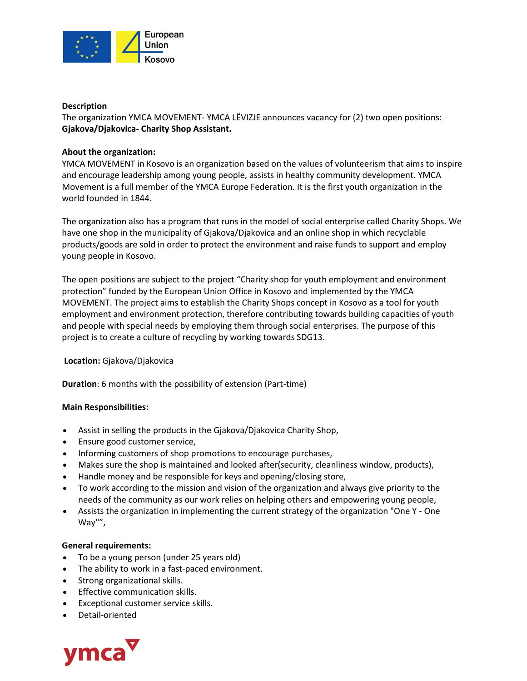

## **Description**

The organization YMCA MOVEMENT- YMCA LËVIZJE announces vacancy for (2) two open positions: **Gjakova/Djakovica- Charity Shop Assistant.**

# **About the organization:**

YMCA MOVEMENT in Kosovo is an organization based on the values of volunteerism that aims to inspire and encourage leadership among young people, assists in healthy community development. YMCA Movement is a full member of the YMCA Europe Federation. It is the first youth organization in the world founded in 1844.

The organization also has a program that runs in the model of social enterprise called Charity Shops. We have one shop in the municipality of Gjakova/Djakovica and an online shop in which recyclable products/goods are sold in order to protect the environment and raise funds to support and employ young people in Kosovo.

The open positions are subject to the project "Charity shop for youth employment and environment protection" funded by the European Union Office in Kosovo and implemented by the YMCA MOVEMENT. The project aims to establish the Charity Shops concept in Kosovo as a tool for youth employment and environment protection, therefore contributing towards building capacities of youth and people with special needs by employing them through social enterprises. The purpose of this project is to create a culture of recycling by working towards SDG13.

## **Location:** Gjakova/Djakovica

**Duration**: 6 months with the possibility of extension (Part-time)

## **Main Responsibilities:**

- Assist in selling the products in the Gjakova/Djakovica Charity Shop,
- Ensure good customer service,
- Informing customers of shop promotions to encourage purchases,
- Makes sure the shop is maintained and looked after(security, cleanliness window, products),
- Handle money and be responsible for keys and opening/closing store,
- To work according to the mission and vision of the organization and always give priority to the needs of the community as our work relies on helping others and empowering young people,
- Assists the organization in implementing the current strategy of the organization "One Y One Way"",

## **General requirements:**

- To be a young person (under 25 years old)
- The ability to work in a fast-paced environment.
- Strong organizational skills.
- **•** Effective communication skills.
- Exceptional customer service skills.
- Detail-oriented